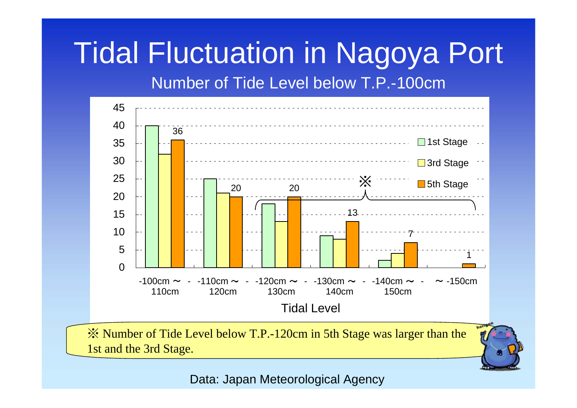## Tidal Fluctuation in Nagoya Port Number of Tide Level below T.P.-100cm



※ Number of Tide Level below T.P.-120cm in 5th Stage was larger than the 1st and the 3rd Stage.

Data: Japan Meteorological Agency

1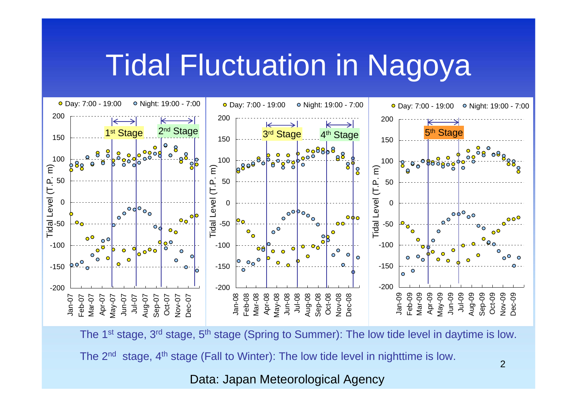## Tidal Fluctuation in Nagoya



The 1<sup>st</sup> stage, 3<sup>rd</sup> stage, 5<sup>th</sup> stage (Spring to Summer): The low tide level in daytime is low.

The  $2^{nd}$  stage,  $4^{th}$  stage (Fall to Winter): The low tide level in nighttime is low.

Data: Japan Meteorological Agency